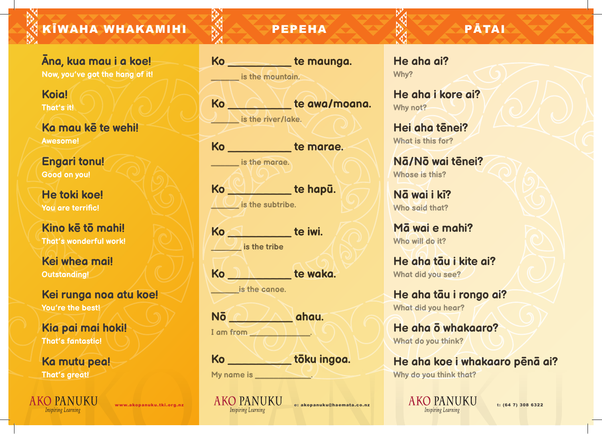KĪWAHA WHAKAMIHI  $\mathbb{R}^3$   $\triangle$  PEPEHA  $\triangle$   $\triangledown$   $\mathbb{R}$   $\triangledown$   $\triangle$  PATAI

**Āna, kua mau i a koe! Now, you've got the hang of it!** 

**Koia! That's it!** 

**Ka mau kē te wehi! Awesome!** 

**Engari tonu! Good on you!** 

**He toki koe! You are terrific!** 

**Kino kē tō mahi! That's wonderful work!** 

**Kei whea mai! Outstanding!** 

**Kei runga noa atu koe! You're the best!** 

**Kia pai mai hoki! That's fantastic!** 

**Ka mutu pea! That's great!** 

(O PANUKU **Inspiring Learning** 

**Ko** \_\_\_\_\_\_\_\_\_ **te maunga.**  *u* is the mountain.

**Ko** \_\_\_\_\_\_\_\_\_ **te awa/moana.** 

*L* is the river/lake.

**Ko** \_\_\_\_\_\_\_\_\_ **te marae.** 

**Letter is the marae.** 

**Ko** \_\_\_\_\_\_\_\_\_ **te hapū.**   $\Lambda \cup \Lambda$  is the subtribe.

**Ko** \_\_\_\_\_\_\_\_\_ **te iwi.** 

**1** is the tribe

**Ko** \_\_\_\_\_\_\_\_\_ **te waka.** 

*d* is the canoe.

**I** am from **All <b>L** 

**Nō** \_\_\_\_\_\_\_\_\_ **ahau.** 

**Ko** \_\_\_\_\_\_\_\_\_ **tōku ingoa.** 

**My name is \_\_\_\_\_\_\_\_\_\_\_\_**.

**He aha ai? Why?** 

**He aha i kore ai? Why not?** 

**Hei aha tēnei? What is this for?** 

**Nā/Nō wai tēnei? Whose is this?** 

**Nā wai i kī? Who said that?** 

**Mā wai e mahi? Who will do it?**

**He aha tāu i kite ai? What did you see?** 

**He aha tāu i rongo ai? What did you hear?** 

**He aha ō whakaaro? What do you think?** 

**He aha koe i whakaaro pēnā ai? Why do you think that?**